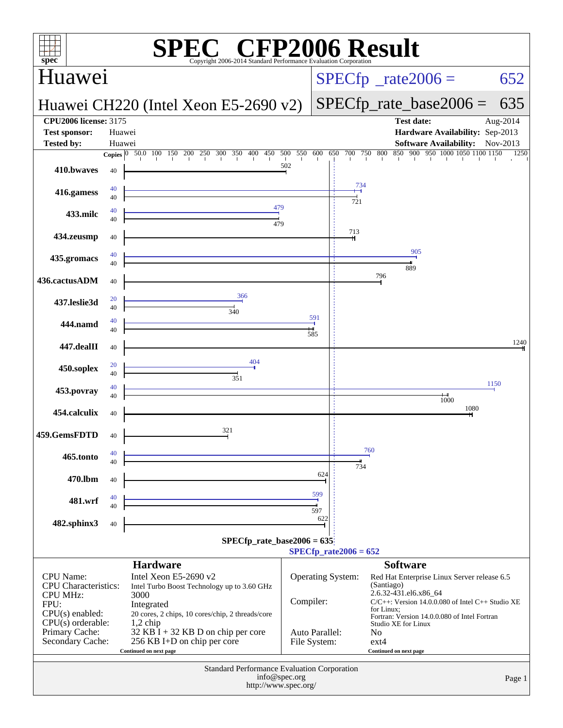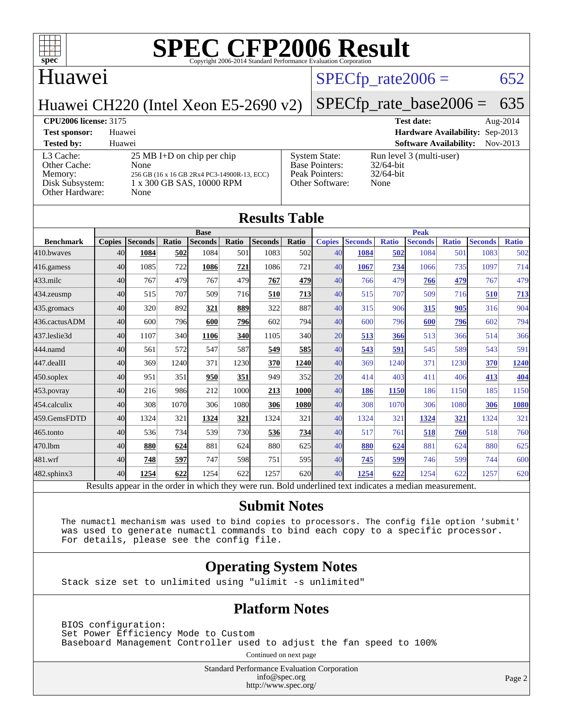

### Huawei

#### $SPECTp_rate2006 = 652$

Huawei CH220 (Intel Xeon E5-2690 v2)

## [SPECfp\\_rate\\_base2006 =](http://www.spec.org/auto/cpu2006/Docs/result-fields.html#SPECfpratebase2006) 635

[Other Hardware:](http://www.spec.org/auto/cpu2006/Docs/result-fields.html#OtherHardware) None

**[CPU2006 license:](http://www.spec.org/auto/cpu2006/Docs/result-fields.html#CPU2006license)** 3175 **[Test date:](http://www.spec.org/auto/cpu2006/Docs/result-fields.html#Testdate)** Aug-2014 **[Test sponsor:](http://www.spec.org/auto/cpu2006/Docs/result-fields.html#Testsponsor)** Huawei **[Hardware Availability:](http://www.spec.org/auto/cpu2006/Docs/result-fields.html#HardwareAvailability)** Sep-2013 **[Tested by:](http://www.spec.org/auto/cpu2006/Docs/result-fields.html#Testedby)** Huawei **[Software Availability:](http://www.spec.org/auto/cpu2006/Docs/result-fields.html#SoftwareAvailability)** Nov-2013 [L3 Cache:](http://www.spec.org/auto/cpu2006/Docs/result-fields.html#L3Cache) 25 MB I+D on chip per chip<br>Other Cache: None [Other Cache:](http://www.spec.org/auto/cpu2006/Docs/result-fields.html#OtherCache) [Memory:](http://www.spec.org/auto/cpu2006/Docs/result-fields.html#Memory) 256 GB (16 x 16 GB 2Rx4 PC3-14900R-13, ECC) [Disk Subsystem:](http://www.spec.org/auto/cpu2006/Docs/result-fields.html#DiskSubsystem) 1 x 300 GB SAS, 10000 RPM [System State:](http://www.spec.org/auto/cpu2006/Docs/result-fields.html#SystemState) Run level 3 (multi-user)<br>Base Pointers:  $32/64$ -bit [Base Pointers:](http://www.spec.org/auto/cpu2006/Docs/result-fields.html#BasePointers) [Peak Pointers:](http://www.spec.org/auto/cpu2006/Docs/result-fields.html#PeakPointers) 32/64-bit [Other Software:](http://www.spec.org/auto/cpu2006/Docs/result-fields.html#OtherSoftware) None

| <b>Results Table</b> |               |                                                                                                          |       |                |       |                |       |               |                |              |                |              |                |              |
|----------------------|---------------|----------------------------------------------------------------------------------------------------------|-------|----------------|-------|----------------|-------|---------------|----------------|--------------|----------------|--------------|----------------|--------------|
|                      | <b>Base</b>   |                                                                                                          |       |                |       | <b>Peak</b>    |       |               |                |              |                |              |                |              |
| <b>Benchmark</b>     | <b>Copies</b> | <b>Seconds</b>                                                                                           | Ratio | <b>Seconds</b> | Ratio | <b>Seconds</b> | Ratio | <b>Copies</b> | <b>Seconds</b> | <b>Ratio</b> | <b>Seconds</b> | <b>Ratio</b> | <b>Seconds</b> | <b>Ratio</b> |
| 410.bwaves           | 40            | 1084                                                                                                     | 502   | 1084           | 501   | 1083           | 502   | 40            | 1084           | 502          | 1084           | 501          | 1083           | 502          |
| 416.gamess           | 40            | 1085                                                                                                     | 722   | 1086           | 721   | 1086           | 721   | 40            | 1067           | 734          | 1066           | 735          | 1097           | 714          |
| $433$ .milc          | 40            | 767                                                                                                      | 479   | 767            | 479   | 767            | 479   | 40            | 766            | 479          | 766            | 479          | 767            | 479          |
| $434$ . zeusmp       | 40            | 515                                                                                                      | 707   | 509            | 716   | 510            | 713   | 40            | 515            | 707          | 509            | 716          | 510            | 713          |
| 435.gromacs          | 40            | 320                                                                                                      | 892   | 321            | 889   | 322            | 887   | 40            | 315            | 906          | 315            | 905          | 316            | 904          |
| 436.cactusADM        | 40            | 600                                                                                                      | 796   | 600            | 796   | 602            | 794   | 40            | 600            | 796          | 600            | 796          | 602            | 794          |
| 437.leslie3d         | 40            | 1107                                                                                                     | 340   | 1106           | 340   | 1105           | 340   | 20            | 513            | 366          | 513            | 366          | 514            | 366          |
| 444.namd             | 40            | 561                                                                                                      | 572   | 547            | 587   | 549            | 585   | 40            | 543            | 591          | 545            | 589          | 543            | 591          |
| 447.dealII           | 40            | 369                                                                                                      | 1240  | 371            | 1230  | 370            | 1240  | 40            | 369            | 1240         | 371            | 1230         | 370            | <u>1240</u>  |
| $450$ .soplex        | 40            | 951                                                                                                      | 351   | 950            | 351   | 949            | 352   | 20            | 414            | 403          | 411            | 406          | 413            | 404          |
| $453$ .povray        | 40            | 216                                                                                                      | 986   | 212            | 1000  | 213            | 1000  | 40            | 186            | 1150         | 186            | 1150         | 185            | 1150         |
| 454.calculix         | 40            | 308                                                                                                      | 1070  | 306            | 1080  | 306            | 1080  | 40            | 308            | 1070         | 306            | 1080         | 306            | 1080         |
| 459.GemsFDTD         | 40            | 1324                                                                                                     | 321   | 1324           | 321   | 1324           | 321   | 40            | 1324           | 321          | 1324           | <u>321</u>   | 1324           | 321          |
| $465$ .tonto         | 40            | 536                                                                                                      | 734   | 539            | 730   | 536            | 734   | 40            | 517            | 761          | 518            | 760          | 518            | 760          |
| 470.1bm              | 40            | 880                                                                                                      | 624   | 881            | 624   | 880            | 625   | 40            | 880            | 624          | 881            | 624          | 880            | 625          |
| 481.wrf              | 40            | 748                                                                                                      | 597   | 747            | 598   | 751            | 595   | 40            | 745            | 599          | 746            | 599          | 744            | 600          |
| $482$ .sphinx $3$    | 40            | 1254                                                                                                     | 622   | 1254           | 622   | 1257           | 620   | 40            | 1254           | 622          | 1254           | 622          | 1257           | 620          |
|                      |               | Results appear in the order in which they were run. Bold underlined text indicates a median measurement. |       |                |       |                |       |               |                |              |                |              |                |              |

#### **[Submit Notes](http://www.spec.org/auto/cpu2006/Docs/result-fields.html#SubmitNotes)**

 The numactl mechanism was used to bind copies to processors. The config file option 'submit' was used to generate numactl commands to bind each copy to a specific processor. For details, please see the config file.

#### **[Operating System Notes](http://www.spec.org/auto/cpu2006/Docs/result-fields.html#OperatingSystemNotes)**

Stack size set to unlimited using "ulimit -s unlimited"

#### **[Platform Notes](http://www.spec.org/auto/cpu2006/Docs/result-fields.html#PlatformNotes)**

 BIOS configuration: Set Power Efficiency Mode to Custom Baseboard Management Controller used to adjust the fan speed to 100%

Continued on next page

Standard Performance Evaluation Corporation [info@spec.org](mailto:info@spec.org) <http://www.spec.org/>

Page 2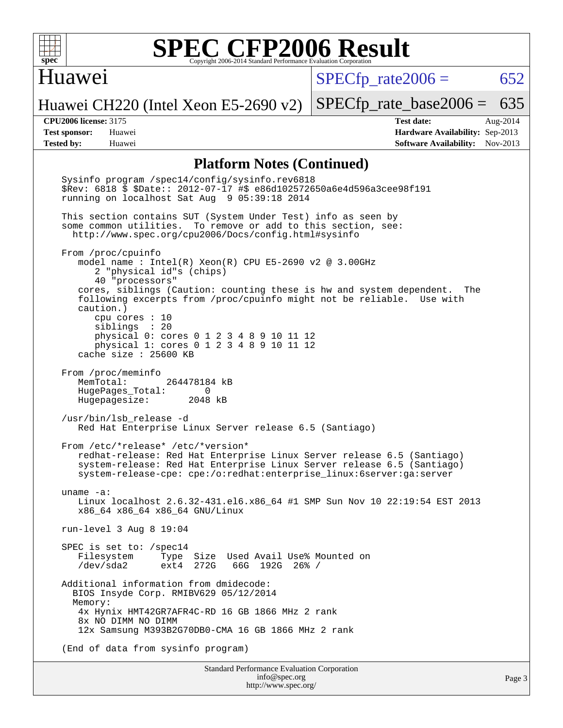

#### Huawei

 $SPECTp\_rate2006 = 652$ 

Huawei CH220 (Intel Xeon E5-2690 v2)

[SPECfp\\_rate\\_base2006 =](http://www.spec.org/auto/cpu2006/Docs/result-fields.html#SPECfpratebase2006) 635

**[CPU2006 license:](http://www.spec.org/auto/cpu2006/Docs/result-fields.html#CPU2006license)** 3175 **[Test date:](http://www.spec.org/auto/cpu2006/Docs/result-fields.html#Testdate)** Aug-2014 **[Test sponsor:](http://www.spec.org/auto/cpu2006/Docs/result-fields.html#Testsponsor)** Huawei **[Hardware Availability:](http://www.spec.org/auto/cpu2006/Docs/result-fields.html#HardwareAvailability)** Sep-2013 **[Tested by:](http://www.spec.org/auto/cpu2006/Docs/result-fields.html#Testedby)** Huawei **[Software Availability:](http://www.spec.org/auto/cpu2006/Docs/result-fields.html#SoftwareAvailability)** Nov-2013

#### **[Platform Notes \(Continued\)](http://www.spec.org/auto/cpu2006/Docs/result-fields.html#PlatformNotes)**

 Sysinfo program /spec14/config/sysinfo.rev6818 \$Rev: 6818 \$ \$Date:: 2012-07-17 #\$ e86d102572650a6e4d596a3cee98f191 running on localhost Sat Aug 9 05:39:18 2014 This section contains SUT (System Under Test) info as seen by some common utilities. To remove or add to this section, see: <http://www.spec.org/cpu2006/Docs/config.html#sysinfo> From /proc/cpuinfo model name : Intel(R) Xeon(R) CPU E5-2690 v2 @ 3.00GHz 2 "physical id"s (chips) 40 "processors" cores, siblings (Caution: counting these is hw and system dependent. The following excerpts from /proc/cpuinfo might not be reliable. Use with caution.) cpu cores : 10 siblings : 20 physical 0: cores 0 1 2 3 4 8 9 10 11 12 physical 1: cores 0 1 2 3 4 8 9 10 11 12 cache size : 25600 KB From /proc/meminfo<br>MemTotal: 264478184 kB HugePages\_Total: 0<br>Hugepagesize: 2048 kB Hugepagesize: /usr/bin/lsb\_release -d Red Hat Enterprise Linux Server release 6.5 (Santiago) From /etc/\*release\* /etc/\*version\* redhat-release: Red Hat Enterprise Linux Server release 6.5 (Santiago) system-release: Red Hat Enterprise Linux Server release 6.5 (Santiago) system-release-cpe: cpe:/o:redhat:enterprise\_linux:6server:ga:server uname -a: Linux localhost 2.6.32-431.el6.x86\_64 #1 SMP Sun Nov 10 22:19:54 EST 2013 x86\_64 x86\_64 x86\_64 GNU/Linux run-level 3 Aug 8 19:04 SPEC is set to: /spec14 Filesystem Type Size Used Avail Use% Mounted on<br>/dev/sda2 ext4 272G 66G 192G 26% / /dev/sda2 ext4 272G 66G 192G 26% / Additional information from dmidecode: BIOS Insyde Corp. RMIBV629 05/12/2014 Memory: 4x Hynix HMT42GR7AFR4C-RD 16 GB 1866 MHz 2 rank 8x NO DIMM NO DIMM 12x Samsung M393B2G70DB0-CMA 16 GB 1866 MHz 2 rank (End of data from sysinfo program)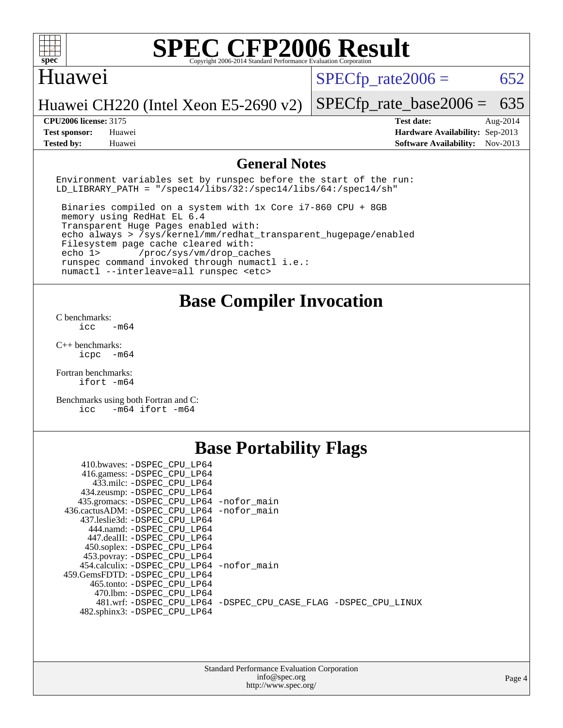

#### Huawei

 $SPECTp\_rate2006 = 652$ 

Huawei CH220 (Intel Xeon E5-2690 v2)

**[Tested by:](http://www.spec.org/auto/cpu2006/Docs/result-fields.html#Testedby)** Huawei **[Software Availability:](http://www.spec.org/auto/cpu2006/Docs/result-fields.html#SoftwareAvailability)** Nov-2013

[SPECfp\\_rate\\_base2006 =](http://www.spec.org/auto/cpu2006/Docs/result-fields.html#SPECfpratebase2006) 635 **[CPU2006 license:](http://www.spec.org/auto/cpu2006/Docs/result-fields.html#CPU2006license)** 3175 **[Test date:](http://www.spec.org/auto/cpu2006/Docs/result-fields.html#Testdate)** Aug-2014 **[Test sponsor:](http://www.spec.org/auto/cpu2006/Docs/result-fields.html#Testsponsor)** Huawei **[Hardware Availability:](http://www.spec.org/auto/cpu2006/Docs/result-fields.html#HardwareAvailability)** Sep-2013

#### **[General Notes](http://www.spec.org/auto/cpu2006/Docs/result-fields.html#GeneralNotes)**

Environment variables set by runspec before the start of the run: LD LIBRARY PATH = "/spec14/libs/32:/spec14/libs/64:/spec14/sh"

 Binaries compiled on a system with 1x Core i7-860 CPU + 8GB memory using RedHat EL 6.4 Transparent Huge Pages enabled with: echo always > /sys/kernel/mm/redhat\_transparent\_hugepage/enabled Filesystem page cache cleared with: echo 1> /proc/sys/vm/drop\_caches runspec command invoked through numactl i.e.: numactl --interleave=all runspec <etc>

**[Base Compiler Invocation](http://www.spec.org/auto/cpu2006/Docs/result-fields.html#BaseCompilerInvocation)**

[C benchmarks](http://www.spec.org/auto/cpu2006/Docs/result-fields.html#Cbenchmarks):  $\text{icc}$   $-\text{m64}$ 

[C++ benchmarks:](http://www.spec.org/auto/cpu2006/Docs/result-fields.html#CXXbenchmarks) [icpc -m64](http://www.spec.org/cpu2006/results/res2014q3/cpu2006-20140810-30857.flags.html#user_CXXbase_intel_icpc_64bit_bedb90c1146cab66620883ef4f41a67e)

[Fortran benchmarks](http://www.spec.org/auto/cpu2006/Docs/result-fields.html#Fortranbenchmarks): [ifort -m64](http://www.spec.org/cpu2006/results/res2014q3/cpu2006-20140810-30857.flags.html#user_FCbase_intel_ifort_64bit_ee9d0fb25645d0210d97eb0527dcc06e)

[Benchmarks using both Fortran and C](http://www.spec.org/auto/cpu2006/Docs/result-fields.html#BenchmarksusingbothFortranandC): [icc -m64](http://www.spec.org/cpu2006/results/res2014q3/cpu2006-20140810-30857.flags.html#user_CC_FCbase_intel_icc_64bit_0b7121f5ab7cfabee23d88897260401c) [ifort -m64](http://www.spec.org/cpu2006/results/res2014q3/cpu2006-20140810-30857.flags.html#user_CC_FCbase_intel_ifort_64bit_ee9d0fb25645d0210d97eb0527dcc06e)

### **[Base Portability Flags](http://www.spec.org/auto/cpu2006/Docs/result-fields.html#BasePortabilityFlags)**

| 410.bwaves: -DSPEC CPU LP64                 |                                                                |
|---------------------------------------------|----------------------------------------------------------------|
| 416.gamess: - DSPEC_CPU_LP64                |                                                                |
| 433.milc: -DSPEC CPU LP64                   |                                                                |
| 434.zeusmp: - DSPEC_CPU_LP64                |                                                                |
| 435.gromacs: -DSPEC_CPU_LP64 -nofor_main    |                                                                |
| 436.cactusADM: -DSPEC CPU LP64 -nofor main  |                                                                |
| 437.leslie3d: -DSPEC CPU LP64               |                                                                |
| 444.namd: - DSPEC_CPU_LP64                  |                                                                |
| 447.dealII: -DSPEC CPU LP64                 |                                                                |
| 450.soplex: -DSPEC_CPU_LP64                 |                                                                |
| 453.povray: -DSPEC_CPU_LP64                 |                                                                |
| 454.calculix: - DSPEC CPU LP64 - nofor main |                                                                |
| 459. GemsFDTD: - DSPEC CPU LP64             |                                                                |
| 465.tonto: - DSPEC CPU LP64                 |                                                                |
| 470.1bm: - DSPEC CPU LP64                   |                                                                |
|                                             | 481.wrf: -DSPEC CPU_LP64 -DSPEC_CPU_CASE_FLAG -DSPEC_CPU_LINUX |
| 482.sphinx3: -DSPEC CPU LP64                |                                                                |
|                                             |                                                                |

| <b>Standard Performance Evaluation Corporation</b> |
|----------------------------------------------------|
| info@spec.org                                      |
| http://www.spec.org/                               |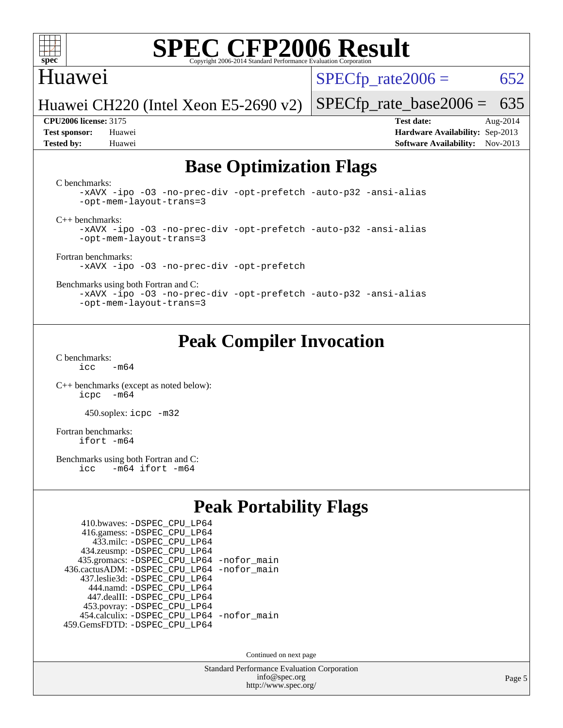

### Huawei

 $SPECTp\_rate2006 = 652$ 

Huawei CH220 (Intel Xeon E5-2690 v2) [SPECfp\\_rate\\_base2006 =](http://www.spec.org/auto/cpu2006/Docs/result-fields.html#SPECfpratebase2006) 635

**[Tested by:](http://www.spec.org/auto/cpu2006/Docs/result-fields.html#Testedby)** Huawei **[Software Availability:](http://www.spec.org/auto/cpu2006/Docs/result-fields.html#SoftwareAvailability)** Nov-2013

**[CPU2006 license:](http://www.spec.org/auto/cpu2006/Docs/result-fields.html#CPU2006license)** 3175 **[Test date:](http://www.spec.org/auto/cpu2006/Docs/result-fields.html#Testdate)** Aug-2014 **[Test sponsor:](http://www.spec.org/auto/cpu2006/Docs/result-fields.html#Testsponsor)** Huawei **[Hardware Availability:](http://www.spec.org/auto/cpu2006/Docs/result-fields.html#HardwareAvailability)** Sep-2013

## **[Base Optimization Flags](http://www.spec.org/auto/cpu2006/Docs/result-fields.html#BaseOptimizationFlags)**

[C benchmarks](http://www.spec.org/auto/cpu2006/Docs/result-fields.html#Cbenchmarks):

[-xAVX](http://www.spec.org/cpu2006/results/res2014q3/cpu2006-20140810-30857.flags.html#user_CCbase_f-xAVX) [-ipo](http://www.spec.org/cpu2006/results/res2014q3/cpu2006-20140810-30857.flags.html#user_CCbase_f-ipo) [-O3](http://www.spec.org/cpu2006/results/res2014q3/cpu2006-20140810-30857.flags.html#user_CCbase_f-O3) [-no-prec-div](http://www.spec.org/cpu2006/results/res2014q3/cpu2006-20140810-30857.flags.html#user_CCbase_f-no-prec-div) [-opt-prefetch](http://www.spec.org/cpu2006/results/res2014q3/cpu2006-20140810-30857.flags.html#user_CCbase_f-opt-prefetch) [-auto-p32](http://www.spec.org/cpu2006/results/res2014q3/cpu2006-20140810-30857.flags.html#user_CCbase_f-auto-p32) [-ansi-alias](http://www.spec.org/cpu2006/results/res2014q3/cpu2006-20140810-30857.flags.html#user_CCbase_f-ansi-alias) [-opt-mem-layout-trans=3](http://www.spec.org/cpu2006/results/res2014q3/cpu2006-20140810-30857.flags.html#user_CCbase_f-opt-mem-layout-trans_a7b82ad4bd7abf52556d4961a2ae94d5)

[C++ benchmarks:](http://www.spec.org/auto/cpu2006/Docs/result-fields.html#CXXbenchmarks)

[-xAVX](http://www.spec.org/cpu2006/results/res2014q3/cpu2006-20140810-30857.flags.html#user_CXXbase_f-xAVX) [-ipo](http://www.spec.org/cpu2006/results/res2014q3/cpu2006-20140810-30857.flags.html#user_CXXbase_f-ipo) [-O3](http://www.spec.org/cpu2006/results/res2014q3/cpu2006-20140810-30857.flags.html#user_CXXbase_f-O3) [-no-prec-div](http://www.spec.org/cpu2006/results/res2014q3/cpu2006-20140810-30857.flags.html#user_CXXbase_f-no-prec-div) [-opt-prefetch](http://www.spec.org/cpu2006/results/res2014q3/cpu2006-20140810-30857.flags.html#user_CXXbase_f-opt-prefetch) [-auto-p32](http://www.spec.org/cpu2006/results/res2014q3/cpu2006-20140810-30857.flags.html#user_CXXbase_f-auto-p32) [-ansi-alias](http://www.spec.org/cpu2006/results/res2014q3/cpu2006-20140810-30857.flags.html#user_CXXbase_f-ansi-alias) [-opt-mem-layout-trans=3](http://www.spec.org/cpu2006/results/res2014q3/cpu2006-20140810-30857.flags.html#user_CXXbase_f-opt-mem-layout-trans_a7b82ad4bd7abf52556d4961a2ae94d5)

[Fortran benchmarks](http://www.spec.org/auto/cpu2006/Docs/result-fields.html#Fortranbenchmarks): [-xAVX](http://www.spec.org/cpu2006/results/res2014q3/cpu2006-20140810-30857.flags.html#user_FCbase_f-xAVX) [-ipo](http://www.spec.org/cpu2006/results/res2014q3/cpu2006-20140810-30857.flags.html#user_FCbase_f-ipo) [-O3](http://www.spec.org/cpu2006/results/res2014q3/cpu2006-20140810-30857.flags.html#user_FCbase_f-O3) [-no-prec-div](http://www.spec.org/cpu2006/results/res2014q3/cpu2006-20140810-30857.flags.html#user_FCbase_f-no-prec-div) [-opt-prefetch](http://www.spec.org/cpu2006/results/res2014q3/cpu2006-20140810-30857.flags.html#user_FCbase_f-opt-prefetch)

[Benchmarks using both Fortran and C](http://www.spec.org/auto/cpu2006/Docs/result-fields.html#BenchmarksusingbothFortranandC):

[-xAVX](http://www.spec.org/cpu2006/results/res2014q3/cpu2006-20140810-30857.flags.html#user_CC_FCbase_f-xAVX) [-ipo](http://www.spec.org/cpu2006/results/res2014q3/cpu2006-20140810-30857.flags.html#user_CC_FCbase_f-ipo) [-O3](http://www.spec.org/cpu2006/results/res2014q3/cpu2006-20140810-30857.flags.html#user_CC_FCbase_f-O3) [-no-prec-div](http://www.spec.org/cpu2006/results/res2014q3/cpu2006-20140810-30857.flags.html#user_CC_FCbase_f-no-prec-div) [-opt-prefetch](http://www.spec.org/cpu2006/results/res2014q3/cpu2006-20140810-30857.flags.html#user_CC_FCbase_f-opt-prefetch) [-auto-p32](http://www.spec.org/cpu2006/results/res2014q3/cpu2006-20140810-30857.flags.html#user_CC_FCbase_f-auto-p32) [-ansi-alias](http://www.spec.org/cpu2006/results/res2014q3/cpu2006-20140810-30857.flags.html#user_CC_FCbase_f-ansi-alias) [-opt-mem-layout-trans=3](http://www.spec.org/cpu2006/results/res2014q3/cpu2006-20140810-30857.flags.html#user_CC_FCbase_f-opt-mem-layout-trans_a7b82ad4bd7abf52556d4961a2ae94d5)

## **[Peak Compiler Invocation](http://www.spec.org/auto/cpu2006/Docs/result-fields.html#PeakCompilerInvocation)**

[C benchmarks](http://www.spec.org/auto/cpu2006/Docs/result-fields.html#Cbenchmarks):  $icc$   $-m64$ 

[C++ benchmarks \(except as noted below\):](http://www.spec.org/auto/cpu2006/Docs/result-fields.html#CXXbenchmarksexceptasnotedbelow) [icpc -m64](http://www.spec.org/cpu2006/results/res2014q3/cpu2006-20140810-30857.flags.html#user_CXXpeak_intel_icpc_64bit_bedb90c1146cab66620883ef4f41a67e)

450.soplex: [icpc -m32](http://www.spec.org/cpu2006/results/res2014q3/cpu2006-20140810-30857.flags.html#user_peakCXXLD450_soplex_intel_icpc_4e5a5ef1a53fd332b3c49e69c3330699)

[Fortran benchmarks](http://www.spec.org/auto/cpu2006/Docs/result-fields.html#Fortranbenchmarks): [ifort -m64](http://www.spec.org/cpu2006/results/res2014q3/cpu2006-20140810-30857.flags.html#user_FCpeak_intel_ifort_64bit_ee9d0fb25645d0210d97eb0527dcc06e)

[Benchmarks using both Fortran and C](http://www.spec.org/auto/cpu2006/Docs/result-fields.html#BenchmarksusingbothFortranandC):<br>icc -m64 ifort -m64  $-m64$  ifort  $-m64$ 

## **[Peak Portability Flags](http://www.spec.org/auto/cpu2006/Docs/result-fields.html#PeakPortabilityFlags)**

| 410.bwaves: - DSPEC CPU LP64                |  |
|---------------------------------------------|--|
| 416.gamess: -DSPEC_CPU_LP64                 |  |
| 433.milc: - DSPEC_CPU LP64                  |  |
| 434.zeusmp: -DSPEC_CPU_LP64                 |  |
| 435.gromacs: -DSPEC_CPU_LP64 -nofor_main    |  |
| 436.cactusADM: -DSPEC CPU LP64 -nofor main  |  |
| 437.leslie3d: -DSPEC CPU LP64               |  |
| 444.namd: - DSPEC CPU LP64                  |  |
| 447.dealII: -DSPEC CPU LP64                 |  |
| 453.povray: -DSPEC_CPU_LP64                 |  |
| 454.calculix: - DSPEC CPU LP64 - nofor main |  |
| 459.GemsFDTD: - DSPEC_CPU_LP64              |  |

Continued on next page

Standard Performance Evaluation Corporation [info@spec.org](mailto:info@spec.org) <http://www.spec.org/>

Page 5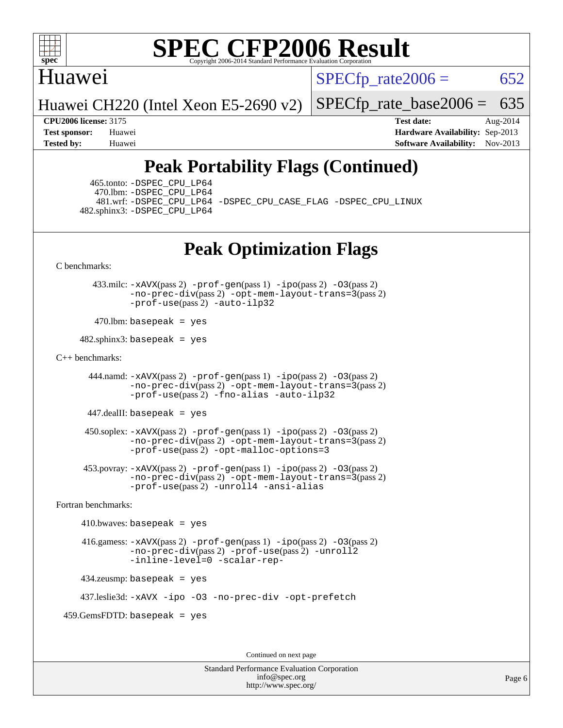

### Huawei

 $SPECTp\_rate2006 = 652$ 

Huawei CH220 (Intel Xeon E5-2690 v2)

[SPECfp\\_rate\\_base2006 =](http://www.spec.org/auto/cpu2006/Docs/result-fields.html#SPECfpratebase2006) 635

**[CPU2006 license:](http://www.spec.org/auto/cpu2006/Docs/result-fields.html#CPU2006license)** 3175 **[Test date:](http://www.spec.org/auto/cpu2006/Docs/result-fields.html#Testdate)** Aug-2014 **[Test sponsor:](http://www.spec.org/auto/cpu2006/Docs/result-fields.html#Testsponsor)** Huawei **[Hardware Availability:](http://www.spec.org/auto/cpu2006/Docs/result-fields.html#HardwareAvailability)** Sep-2013 **[Tested by:](http://www.spec.org/auto/cpu2006/Docs/result-fields.html#Testedby)** Huawei **[Software Availability:](http://www.spec.org/auto/cpu2006/Docs/result-fields.html#SoftwareAvailability)** Nov-2013

## **[Peak Portability Flags \(Continued\)](http://www.spec.org/auto/cpu2006/Docs/result-fields.html#PeakPortabilityFlags)**

 465.tonto: [-DSPEC\\_CPU\\_LP64](http://www.spec.org/cpu2006/results/res2014q3/cpu2006-20140810-30857.flags.html#suite_peakPORTABILITY465_tonto_DSPEC_CPU_LP64) 470.lbm: [-DSPEC\\_CPU\\_LP64](http://www.spec.org/cpu2006/results/res2014q3/cpu2006-20140810-30857.flags.html#suite_peakPORTABILITY470_lbm_DSPEC_CPU_LP64) 482.sphinx3: [-DSPEC\\_CPU\\_LP64](http://www.spec.org/cpu2006/results/res2014q3/cpu2006-20140810-30857.flags.html#suite_peakPORTABILITY482_sphinx3_DSPEC_CPU_LP64)

481.wrf: [-DSPEC\\_CPU\\_LP64](http://www.spec.org/cpu2006/results/res2014q3/cpu2006-20140810-30857.flags.html#suite_peakPORTABILITY481_wrf_DSPEC_CPU_LP64) [-DSPEC\\_CPU\\_CASE\\_FLAG](http://www.spec.org/cpu2006/results/res2014q3/cpu2006-20140810-30857.flags.html#b481.wrf_peakCPORTABILITY_DSPEC_CPU_CASE_FLAG) [-DSPEC\\_CPU\\_LINUX](http://www.spec.org/cpu2006/results/res2014q3/cpu2006-20140810-30857.flags.html#b481.wrf_peakCPORTABILITY_DSPEC_CPU_LINUX)

## **[Peak Optimization Flags](http://www.spec.org/auto/cpu2006/Docs/result-fields.html#PeakOptimizationFlags)**

[C benchmarks](http://www.spec.org/auto/cpu2006/Docs/result-fields.html#Cbenchmarks):

 433.milc: [-xAVX](http://www.spec.org/cpu2006/results/res2014q3/cpu2006-20140810-30857.flags.html#user_peakPASS2_CFLAGSPASS2_LDFLAGS433_milc_f-xAVX)(pass 2) [-prof-gen](http://www.spec.org/cpu2006/results/res2014q3/cpu2006-20140810-30857.flags.html#user_peakPASS1_CFLAGSPASS1_LDFLAGS433_milc_prof_gen_e43856698f6ca7b7e442dfd80e94a8fc)(pass 1) [-ipo](http://www.spec.org/cpu2006/results/res2014q3/cpu2006-20140810-30857.flags.html#user_peakPASS2_CFLAGSPASS2_LDFLAGS433_milc_f-ipo)(pass 2) [-O3](http://www.spec.org/cpu2006/results/res2014q3/cpu2006-20140810-30857.flags.html#user_peakPASS2_CFLAGSPASS2_LDFLAGS433_milc_f-O3)(pass 2) [-no-prec-div](http://www.spec.org/cpu2006/results/res2014q3/cpu2006-20140810-30857.flags.html#user_peakPASS2_CFLAGSPASS2_LDFLAGS433_milc_f-no-prec-div)(pass 2) [-opt-mem-layout-trans=3](http://www.spec.org/cpu2006/results/res2014q3/cpu2006-20140810-30857.flags.html#user_peakPASS2_CFLAGS433_milc_f-opt-mem-layout-trans_a7b82ad4bd7abf52556d4961a2ae94d5)(pass 2) [-prof-use](http://www.spec.org/cpu2006/results/res2014q3/cpu2006-20140810-30857.flags.html#user_peakPASS2_CFLAGSPASS2_LDFLAGS433_milc_prof_use_bccf7792157ff70d64e32fe3e1250b55)(pass 2) [-auto-ilp32](http://www.spec.org/cpu2006/results/res2014q3/cpu2006-20140810-30857.flags.html#user_peakCOPTIMIZE433_milc_f-auto-ilp32)

 $470$ .lbm: basepeak = yes

 $482$ .sphinx3: basepeak = yes

#### [C++ benchmarks:](http://www.spec.org/auto/cpu2006/Docs/result-fields.html#CXXbenchmarks)

444.namd:  $-x$ AVX(pass 2)  $-p$ rof-gen(pass 1)  $-p$ po(pass 2)  $-03$ (pass 2) [-no-prec-div](http://www.spec.org/cpu2006/results/res2014q3/cpu2006-20140810-30857.flags.html#user_peakPASS2_CXXFLAGSPASS2_LDFLAGS444_namd_f-no-prec-div)(pass 2) [-opt-mem-layout-trans=3](http://www.spec.org/cpu2006/results/res2014q3/cpu2006-20140810-30857.flags.html#user_peakPASS2_CXXFLAGS444_namd_f-opt-mem-layout-trans_a7b82ad4bd7abf52556d4961a2ae94d5)(pass 2) [-prof-use](http://www.spec.org/cpu2006/results/res2014q3/cpu2006-20140810-30857.flags.html#user_peakPASS2_CXXFLAGSPASS2_LDFLAGS444_namd_prof_use_bccf7792157ff70d64e32fe3e1250b55)(pass 2) [-fno-alias](http://www.spec.org/cpu2006/results/res2014q3/cpu2006-20140810-30857.flags.html#user_peakCXXOPTIMIZE444_namd_f-no-alias_694e77f6c5a51e658e82ccff53a9e63a) [-auto-ilp32](http://www.spec.org/cpu2006/results/res2014q3/cpu2006-20140810-30857.flags.html#user_peakCXXOPTIMIZE444_namd_f-auto-ilp32)

447.dealII: basepeak = yes

 $450$ .soplex:  $-x$ AVX(pass 2)  $-p$ rof-gen(pass 1)  $-i$ po(pass 2)  $-03$ (pass 2) [-no-prec-div](http://www.spec.org/cpu2006/results/res2014q3/cpu2006-20140810-30857.flags.html#user_peakPASS2_CXXFLAGSPASS2_LDFLAGS450_soplex_f-no-prec-div)(pass 2) [-opt-mem-layout-trans=3](http://www.spec.org/cpu2006/results/res2014q3/cpu2006-20140810-30857.flags.html#user_peakPASS2_CXXFLAGS450_soplex_f-opt-mem-layout-trans_a7b82ad4bd7abf52556d4961a2ae94d5)(pass 2) [-prof-use](http://www.spec.org/cpu2006/results/res2014q3/cpu2006-20140810-30857.flags.html#user_peakPASS2_CXXFLAGSPASS2_LDFLAGS450_soplex_prof_use_bccf7792157ff70d64e32fe3e1250b55)(pass 2) [-opt-malloc-options=3](http://www.spec.org/cpu2006/results/res2014q3/cpu2006-20140810-30857.flags.html#user_peakOPTIMIZE450_soplex_f-opt-malloc-options_13ab9b803cf986b4ee62f0a5998c2238)

 453.povray: [-xAVX](http://www.spec.org/cpu2006/results/res2014q3/cpu2006-20140810-30857.flags.html#user_peakPASS2_CXXFLAGSPASS2_LDFLAGS453_povray_f-xAVX)(pass 2) [-prof-gen](http://www.spec.org/cpu2006/results/res2014q3/cpu2006-20140810-30857.flags.html#user_peakPASS1_CXXFLAGSPASS1_LDFLAGS453_povray_prof_gen_e43856698f6ca7b7e442dfd80e94a8fc)(pass 1) [-ipo](http://www.spec.org/cpu2006/results/res2014q3/cpu2006-20140810-30857.flags.html#user_peakPASS2_CXXFLAGSPASS2_LDFLAGS453_povray_f-ipo)(pass 2) [-O3](http://www.spec.org/cpu2006/results/res2014q3/cpu2006-20140810-30857.flags.html#user_peakPASS2_CXXFLAGSPASS2_LDFLAGS453_povray_f-O3)(pass 2) [-no-prec-div](http://www.spec.org/cpu2006/results/res2014q3/cpu2006-20140810-30857.flags.html#user_peakPASS2_CXXFLAGSPASS2_LDFLAGS453_povray_f-no-prec-div)(pass 2) [-opt-mem-layout-trans=3](http://www.spec.org/cpu2006/results/res2014q3/cpu2006-20140810-30857.flags.html#user_peakPASS2_CXXFLAGS453_povray_f-opt-mem-layout-trans_a7b82ad4bd7abf52556d4961a2ae94d5)(pass 2) [-prof-use](http://www.spec.org/cpu2006/results/res2014q3/cpu2006-20140810-30857.flags.html#user_peakPASS2_CXXFLAGSPASS2_LDFLAGS453_povray_prof_use_bccf7792157ff70d64e32fe3e1250b55)(pass 2) [-unroll4](http://www.spec.org/cpu2006/results/res2014q3/cpu2006-20140810-30857.flags.html#user_peakCXXOPTIMIZE453_povray_f-unroll_4e5e4ed65b7fd20bdcd365bec371b81f) [-ansi-alias](http://www.spec.org/cpu2006/results/res2014q3/cpu2006-20140810-30857.flags.html#user_peakCXXOPTIMIZE453_povray_f-ansi-alias)

[Fortran benchmarks](http://www.spec.org/auto/cpu2006/Docs/result-fields.html#Fortranbenchmarks):

 $410.bwaves: basepeak = yes$  416.gamess: [-xAVX](http://www.spec.org/cpu2006/results/res2014q3/cpu2006-20140810-30857.flags.html#user_peakPASS2_FFLAGSPASS2_LDFLAGS416_gamess_f-xAVX)(pass 2) [-prof-gen](http://www.spec.org/cpu2006/results/res2014q3/cpu2006-20140810-30857.flags.html#user_peakPASS1_FFLAGSPASS1_LDFLAGS416_gamess_prof_gen_e43856698f6ca7b7e442dfd80e94a8fc)(pass 1) [-ipo](http://www.spec.org/cpu2006/results/res2014q3/cpu2006-20140810-30857.flags.html#user_peakPASS2_FFLAGSPASS2_LDFLAGS416_gamess_f-ipo)(pass 2) [-O3](http://www.spec.org/cpu2006/results/res2014q3/cpu2006-20140810-30857.flags.html#user_peakPASS2_FFLAGSPASS2_LDFLAGS416_gamess_f-O3)(pass 2) [-no-prec-div](http://www.spec.org/cpu2006/results/res2014q3/cpu2006-20140810-30857.flags.html#user_peakPASS2_FFLAGSPASS2_LDFLAGS416_gamess_f-no-prec-div)(pass 2) [-prof-use](http://www.spec.org/cpu2006/results/res2014q3/cpu2006-20140810-30857.flags.html#user_peakPASS2_FFLAGSPASS2_LDFLAGS416_gamess_prof_use_bccf7792157ff70d64e32fe3e1250b55)(pass 2) [-unroll2](http://www.spec.org/cpu2006/results/res2014q3/cpu2006-20140810-30857.flags.html#user_peakOPTIMIZE416_gamess_f-unroll_784dae83bebfb236979b41d2422d7ec2) [-inline-level=0](http://www.spec.org/cpu2006/results/res2014q3/cpu2006-20140810-30857.flags.html#user_peakOPTIMIZE416_gamess_f-inline-level_318d07a09274ad25e8d15dbfaa68ba50) [-scalar-rep-](http://www.spec.org/cpu2006/results/res2014q3/cpu2006-20140810-30857.flags.html#user_peakOPTIMIZE416_gamess_f-disablescalarrep_abbcad04450fb118e4809c81d83c8a1d) 434.zeusmp: basepeak = yes

437.leslie3d: [-xAVX](http://www.spec.org/cpu2006/results/res2014q3/cpu2006-20140810-30857.flags.html#user_peakOPTIMIZE437_leslie3d_f-xAVX) [-ipo](http://www.spec.org/cpu2006/results/res2014q3/cpu2006-20140810-30857.flags.html#user_peakOPTIMIZE437_leslie3d_f-ipo) [-O3](http://www.spec.org/cpu2006/results/res2014q3/cpu2006-20140810-30857.flags.html#user_peakOPTIMIZE437_leslie3d_f-O3) [-no-prec-div](http://www.spec.org/cpu2006/results/res2014q3/cpu2006-20140810-30857.flags.html#user_peakOPTIMIZE437_leslie3d_f-no-prec-div) [-opt-prefetch](http://www.spec.org/cpu2006/results/res2014q3/cpu2006-20140810-30857.flags.html#user_peakOPTIMIZE437_leslie3d_f-opt-prefetch)

459.GemsFDTD: basepeak = yes

Continued on next page

Standard Performance Evaluation Corporation [info@spec.org](mailto:info@spec.org) <http://www.spec.org/>